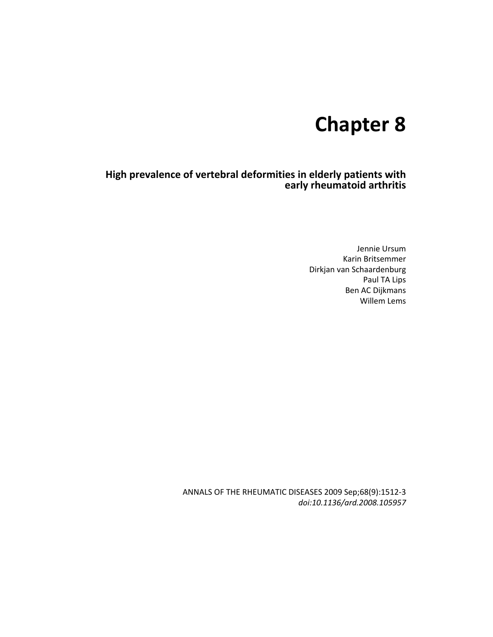## **Chapter 8**

**High prevalence of vertebral deformities in elderly patients with early rheumatoid arthritis** 

> Jennie Ursum Karin Britsemmer Dirkjan van Schaardenburg Paul TA Lips Ben AC Dijkmans Willem Lems

ANNALS OF THE RHEUMATIC DISEASES 2009 Sep;68(9):1512-3 *doi:10.1136/ard.2008.105957*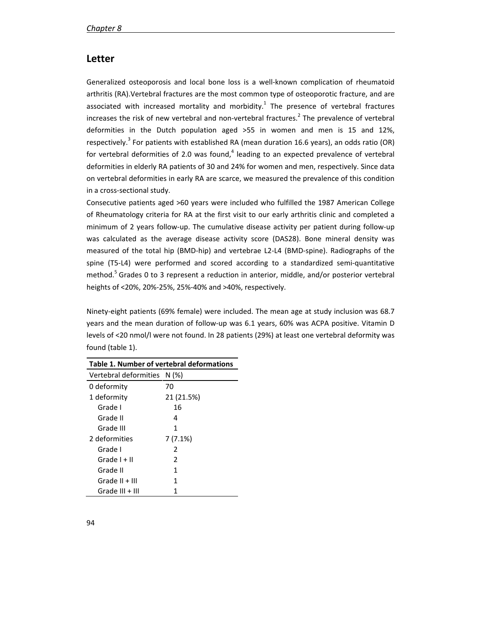## **Letter**

Generalized osteoporosis and local bone loss is a well-known complication of rheumatoid arthritis (RA).Vertebral fractures are the most common type of osteoporotic fracture, and are associated with increased mortality and morbidity.<sup>1</sup> The presence of vertebral fractures increases the risk of new vertebral and non-vertebral fractures.<sup>2</sup> The prevalence of vertebral deformities in the Dutch population aged >55 in women and men is 15 and 12%, respectively.<sup>3</sup> For patients with established RA (mean duration 16.6 years), an odds ratio (OR) for vertebral deformities of 2.0 was found,<sup>4</sup> leading to an expected prevalence of vertebral deformities in elderly RA patients of 30 and 24% for women and men, respectively. Since data on vertebral deformities in early RA are scarce, we measured the prevalence of this condition in a cross-sectional study.

Consecutive patients aged >60 years were included who fulfilled the 1987 American College of Rheumatology criteria for RA at the first visit to our early arthritis clinic and completed a minimum of 2 years follow-up. The cumulative disease activity per patient during follow-up was calculated as the average disease activity score (DAS28). Bone mineral density was measured of the total hip (BMD-hip) and vertebrae L2-L4 (BMD-spine). Radiographs of the spine (T5-L4) were performed and scored according to a standardized semi-quantitative method.<sup>5</sup> Grades 0 to 3 represent a reduction in anterior, middle, and/or posterior vertebral heights of <20%, 20%-25%, 25%-40% and >40%, respectively.

Ninety-eight patients (69% female) were included. The mean age at study inclusion was 68.7 years and the mean duration of follow-up was 6.1 years, 60% was ACPA positive. Vitamin D levels of <20 nmol/l were not found. In 28 patients (29%) at least one vertebral deformity was found (table 1).

| Table 1. Number of vertebral deformations |            |
|-------------------------------------------|------------|
| Vertebral deformities N (%)               |            |
| 0 deformity                               | 70         |
| 1 deformity                               | 21 (21.5%) |
| Grade I                                   | 16         |
| Grade II                                  | 4          |
| Grade III                                 | 1          |
| 2 deformities                             | 7 (7.1%)   |
| Grade I                                   | 2          |
| Grade $I + II$                            | 2          |
| Grade II                                  | 1          |
| Grade II + III                            | 1          |
| Grade III + III                           | 1          |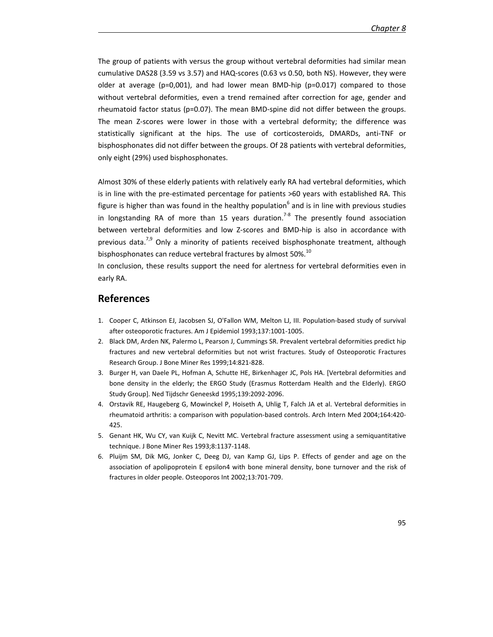The group of patients with versus the group without vertebral deformities had similar mean cumulative DAS28 (3.59 vs 3.57) and HAQ-scores (0.63 vs 0.50, both NS). However, they were older at average (p=0,001), and had lower mean BMD-hip (p=0.017) compared to those without vertebral deformities, even a trend remained after correction for age, gender and rheumatoid factor status (p=0.07). The mean BMD-spine did not differ between the groups. The mean Z-scores were lower in those with a vertebral deformity; the difference was statistically significant at the hips. The use of corticosteroids, DMARDs, anti-TNF or bisphosphonates did not differ between the groups. Of 28 patients with vertebral deformities, only eight (29%) used bisphosphonates.

Almost 30% of these elderly patients with relatively early RA had vertebral deformities, which is in line with the pre-estimated percentage for patients >60 years with established RA. This figure is higher than was found in the healthy population<sup>6</sup> and is in line with previous studies in longstanding RA of more than 15 years duration.<sup>7-8</sup> The presently found association between vertebral deformities and low Z-scores and BMD-hip is also in accordance with previous data.<sup>7,9</sup> Only a minority of patients received bisphosphonate treatment, although bisphosphonates can reduce vertebral fractures by almost 50%.<sup>10</sup>

In conclusion, these results support the need for alertness for vertebral deformities even in early RA.

## **References**

- 1. Cooper C, Atkinson EJ, Jacobsen SJ, O'Fallon WM, Melton LJ, III. Population-based study of survival after osteoporotic fractures. Am J Epidemiol 1993;137:1001-1005.
- 2. Black DM, Arden NK, Palermo L, Pearson J, Cummings SR. Prevalent vertebral deformities predict hip fractures and new vertebral deformities but not wrist fractures. Study of Osteoporotic Fractures Research Group. J Bone Miner Res 1999;14:821-828.
- 3. Burger H, van Daele PL, Hofman A, Schutte HE, Birkenhager JC, Pols HA. [Vertebral deformities and bone density in the elderly; the ERGO Study (Erasmus Rotterdam Health and the Elderly). ERGO Study Group]. Ned Tijdschr Geneeskd 1995;139:2092-2096.
- 4. Orstavik RE, Haugeberg G, Mowinckel P, Hoiseth A, Uhlig T, Falch JA et al. Vertebral deformities in rheumatoid arthritis: a comparison with population-based controls. Arch Intern Med 2004;164:420- 425.
- 5. Genant HK, Wu CY, van Kuijk C, Nevitt MC. Vertebral fracture assessment using a semiquantitative technique. J Bone Miner Res 1993;8:1137-1148.
- 6. Pluijm SM, Dik MG, Jonker C, Deeg DJ, van Kamp GJ, Lips P. Effects of gender and age on the association of apolipoprotein E epsilon4 with bone mineral density, bone turnover and the risk of fractures in older people. Osteoporos Int 2002;13:701-709.